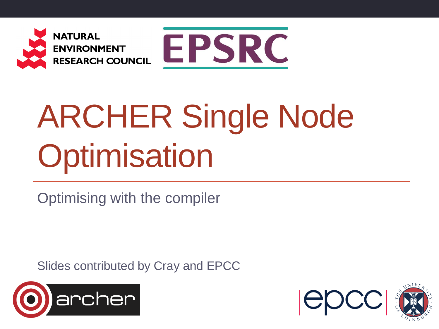



# ARCHER Single Node **Optimisation**

Optimising with the compiler

Slides contributed by Cray and EPCC



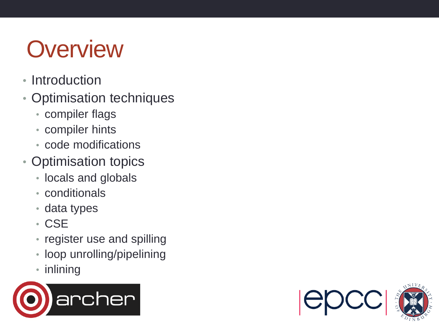#### **Overview**

- Introduction
- Optimisation techniques
	- compiler flags
	- compiler hints
	- code modifications
- Optimisation topics
	- locals and globals
	- conditionals
	- data types
	- CSE
	- register use and spilling
	- loop unrolling/pipelining
	- inlining



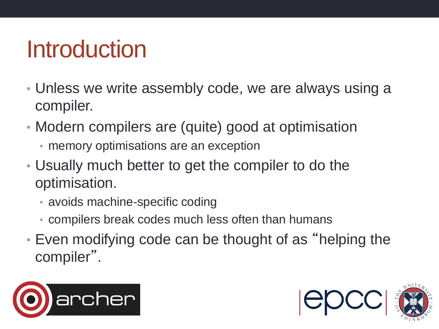#### Introduction

- Unless we write assembly code, we are always using a compiler.
- Modern compilers are (quite) good at optimisation
	- memory optimisations are an exception
- Usually much better to get the compiler to do the optimisation.
	- avoids machine-specific coding
	- compilers break codes much less often than humans
- Even modifying code can be thought of as "helping the compiler".



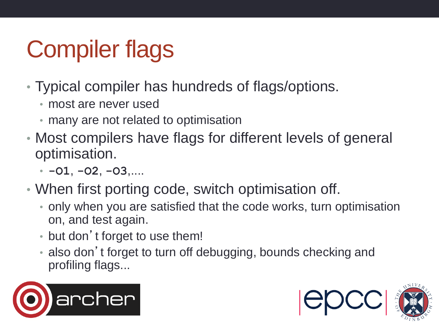# Compiler flags

- Typical compiler has hundreds of flags/options.
	- most are never used
	- many are not related to optimisation
- Most compilers have flags for different levels of general optimisation.
	- **-O1**, **-O2**, **-O3**,....
- When first porting code, switch optimisation off.
	- only when you are satisfied that the code works, turn optimisation on, and test again.
	- but don't forget to use them!
	- also don't forget to turn off debugging, bounds checking and profiling flags...



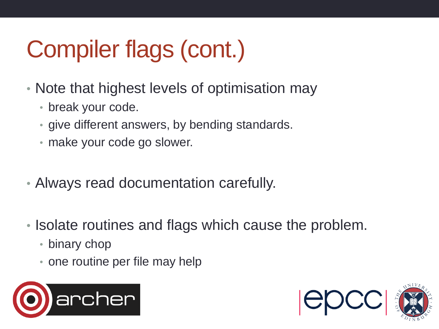# Compiler flags (cont.)

- Note that highest levels of optimisation may
	- break your code.
	- give different answers, by bending standards.
	- make your code go slower.
- Always read documentation carefully.
- Isolate routines and flags which cause the problem.
	- binary chop
	- one routine per file may help



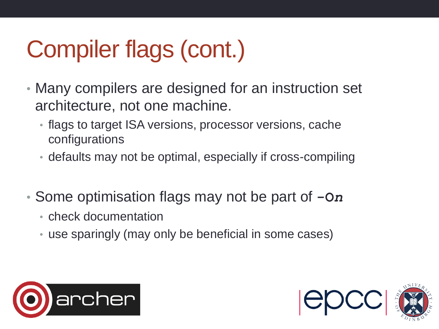# Compiler flags (cont.)

- Many compilers are designed for an instruction set architecture, not one machine.
	- flags to target ISA versions, processor versions, cache configurations
	- defaults may not be optimal, especially if cross-compiling
- Some optimisation flags may not be part of **-O***n*
	- check documentation
	- use sparingly (may only be beneficial in some cases)



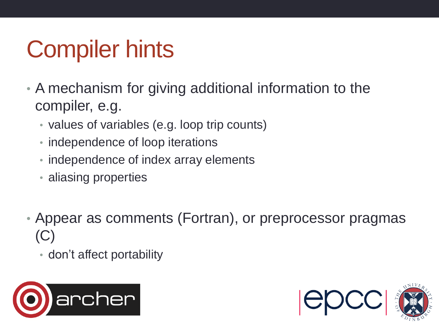# Compiler hints

- A mechanism for giving additional information to the compiler, e.g.
	- values of variables (e.g. loop trip counts)
	- independence of loop iterations
	- independence of index array elements
	- aliasing properties
- Appear as comments (Fortran), or preprocessor pragmas (C)

• don't affect portability



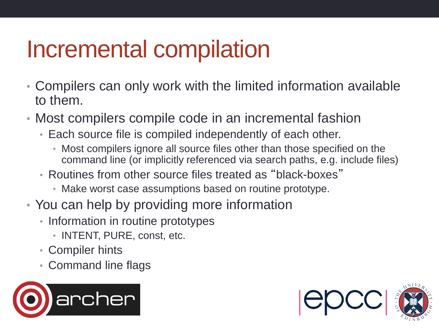#### Incremental compilation

- Compilers can only work with the limited information available to them.
- Most compilers compile code in an incremental fashion
	- Each source file is compiled independently of each other.
		- Most compilers ignore all source files other than those specified on the command line (or implicitly referenced via search paths, e.g. include files)
	- Routines from other source files treated as "black-boxes"
		- Make worst case assumptions based on routine prototype.
- You can help by providing more information
	- Information in routine prototypes
		- INTENT, PURE, const, etc.
	- Compiler hints
	- Command line flags



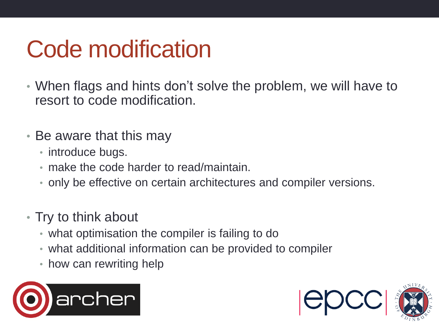#### Code modification

- When flags and hints don't solve the problem, we will have to resort to code modification.
- Be aware that this may
	- introduce bugs.
	- make the code harder to read/maintain.
	- only be effective on certain architectures and compiler versions.
- Try to think about
	- what optimisation the compiler is failing to do
	- what additional information can be provided to compiler
	- how can rewriting help



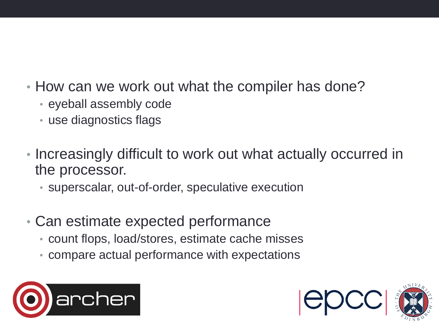- How can we work out what the compiler has done?
	- eyeball assembly code
	- use diagnostics flags
- Increasingly difficult to work out what actually occurred in the processor.
	- superscalar, out-of-order, speculative execution
- Can estimate expected performance
	- count flops, load/stores, estimate cache misses
	- compare actual performance with expectations



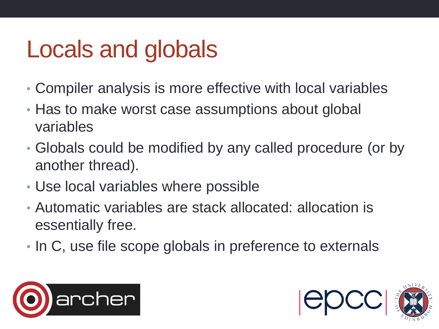#### Locals and globals

- Compiler analysis is more effective with local variables
- Has to make worst case assumptions about global variables
- Globals could be modified by any called procedure (or by another thread).
- Use local variables where possible
- Automatic variables are stack allocated: allocation is essentially free.
- In C, use file scope globals in preference to externals



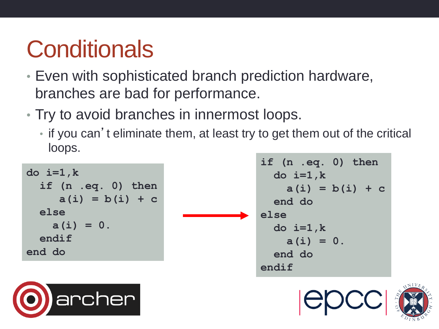## **Conditionals**

- Even with sophisticated branch prediction hardware, branches are bad for performance.
- Try to avoid branches in innermost loops.
	- if you can't eliminate them, at least try to get them out of the critical loops.

```
do i=1,k
   if (n .eq. 0) then
     a(i) = b(i) + c else
    a(i) = 0. endif
end do
```
**if (n .eq. 0) then do i=1,k a(i) = b(i) + c end do else do i=1,k a(i) = 0. end do endif**



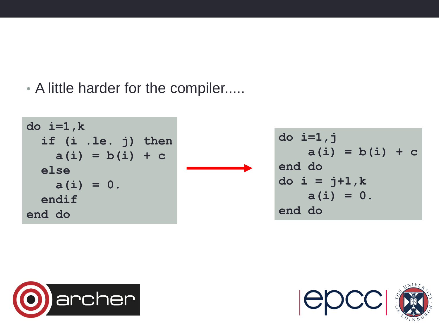• A little harder for the compiler.....

```
do i=1,k
   if (i .le. j) then
  a(i) = b(i) + c else
   a(i) = 0. endif
end do
```

```
do i=1,j
    a(i) = b(i) + cend do 
do i = j+1,k
   a(i) = 0.end do
```


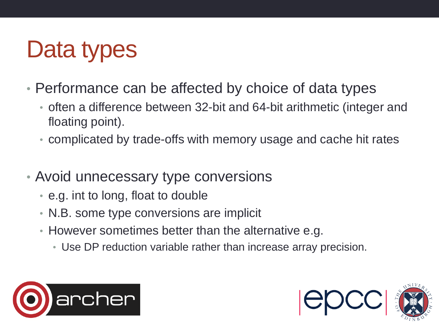#### Data types

- Performance can be affected by choice of data types
	- often a difference between 32-bit and 64-bit arithmetic (integer and floating point).
	- complicated by trade-offs with memory usage and cache hit rates
- Avoid unnecessary type conversions
	- e.g. int to long, float to double
	- N.B. some type conversions are implicit
	- However sometimes better than the alternative e.g.
		- Use DP reduction variable rather than increase array precision.



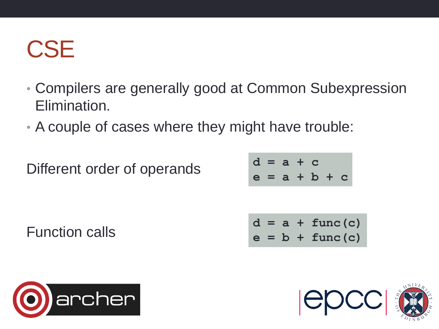#### **CSE**

- Compilers are generally good at Common Subexpression Elimination.
- A couple of cases where they might have trouble:

Different order of operands

**d = a + c e = a + b + c**

$$
d = a + func(c)
$$
  

$$
e = b + func(c)
$$



Function calls

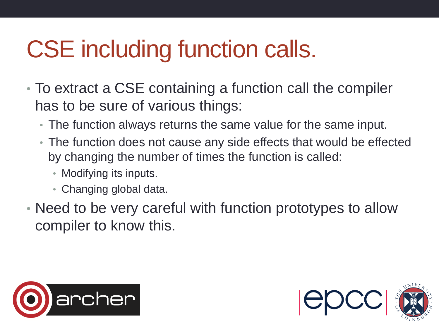## CSE including function calls.

- To extract a CSE containing a function call the compiler has to be sure of various things:
	- The function always returns the same value for the same input.
	- The function does not cause any side effects that would be effected by changing the number of times the function is called:
		- Modifying its inputs.
		- Changing global data.
- Need to be very careful with function prototypes to allow compiler to know this.



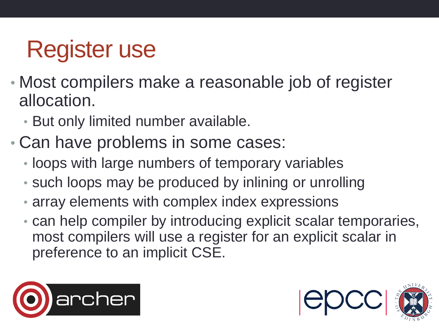#### Register use

- Most compilers make a reasonable job of register allocation.
	- But only limited number available.
- Can have problems in some cases:
	- loops with large numbers of temporary variables
	- such loops may be produced by inlining or unrolling
	- array elements with complex index expressions
	- can help compiler by introducing explicit scalar temporaries, most compilers will use a register for an explicit scalar in preference to an implicit CSE.



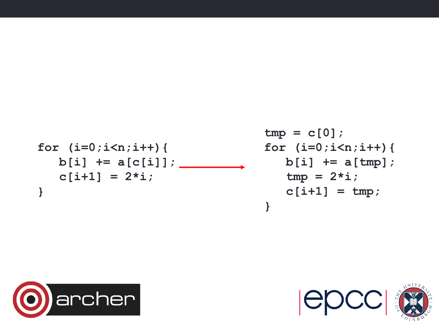$$
for (i=0; i
$$

**tmp = c[0]; for (i=0;i<n;i++){ b[i] += a[tmp];**  $tmp = 2* i;$  **c[i+1] = tmp; }**



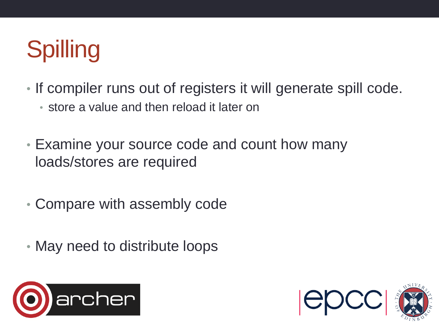# Spilling

- If compiler runs out of registers it will generate spill code.
	- store a value and then reload it later on
- Examine your source code and count how many loads/stores are required
- Compare with assembly code
- May need to distribute loops



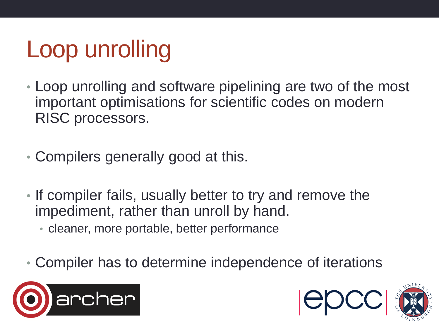# Loop unrolling

- Loop unrolling and software pipelining are two of the most important optimisations for scientific codes on modern RISC processors.
- Compilers generally good at this.
- If compiler fails, usually better to try and remove the impediment, rather than unroll by hand.
	- cleaner, more portable, better performance
- Compiler has to determine independence of iterations





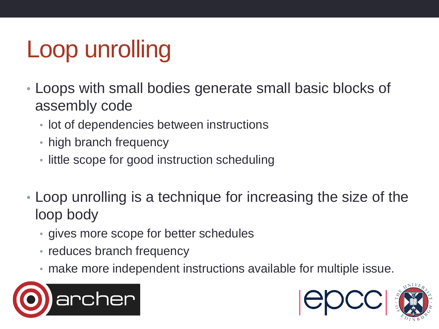# Loop unrolling

- Loops with small bodies generate small basic blocks of assembly code
	- lot of dependencies between instructions
	- high branch frequency
	- little scope for good instruction scheduling
- Loop unrolling is a technique for increasing the size of the loop body
	- gives more scope for better schedules
	- reduces branch frequency
	- make more independent instructions available for multiple issue.





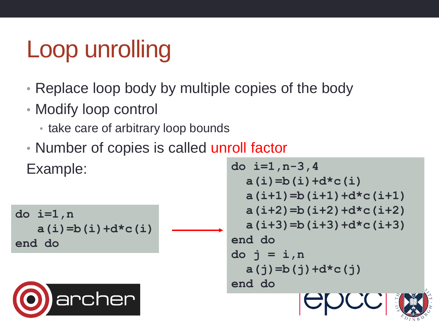#### Loop unrolling

- Replace loop body by multiple copies of the body
- Modify loop control
	- take care of arbitrary loop bounds
- Number of copies is called unroll factor Example:

```
do i=1,n
    a(i)=b(i)+d*c(i)
end do
```


```
do i=1,n-3,4
   a(i)=b(i)+d*c(i)
   a(i+1)=b(i+1)+d*c(i+1)
   a(i+2)=b(i+2)+d*c(i+2)
   a(i+3)=b(i+3)+d*c(i+3)
end do
do j = i,n
   a(j)=b(j)+d*c(j)
end do
```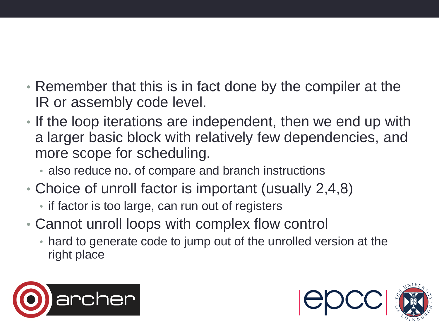- Remember that this is in fact done by the compiler at the IR or assembly code level.
- If the loop iterations are independent, then we end up with a larger basic block with relatively few dependencies, and more scope for scheduling.
	- also reduce no. of compare and branch instructions
- Choice of unroll factor is important (usually 2,4,8)
	- if factor is too large, can run out of registers
- Cannot unroll loops with complex flow control
	- hard to generate code to jump out of the unrolled version at the right place



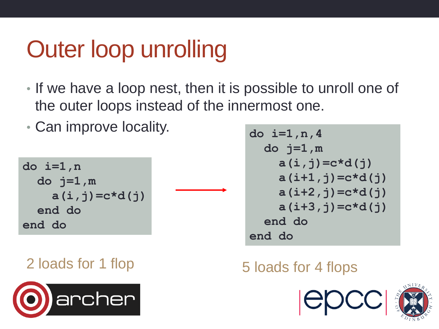#### Outer loop unrolling

- If we have a loop nest, then it is possible to unroll one of the outer loops instead of the innermost one.
- Can improve locality.

**do i=1,n do j=1,m a(i,j)=c\*d(j) end do end do**



$$
do i=1, n, 4\ndo j=1, m\na(i, j) = c*d(j)\na(i+1, j) = c*d(j)\na(i+2, j) = c*d(j)\na(i+3, j) = c*d(j)\nend do\nend do\nend do
$$

#### 2 loads for 1 flop 5 loads for 4 flops



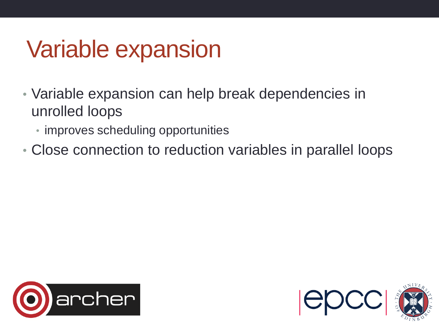#### Variable expansion

- Variable expansion can help break dependencies in unrolled loops
	- improves scheduling opportunities
- Close connection to reduction variables in parallel loops



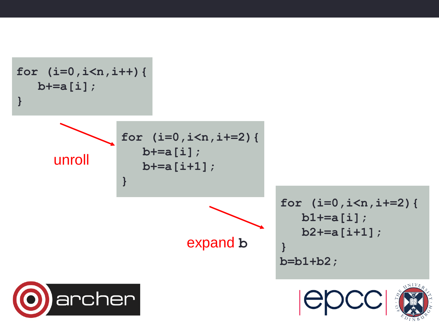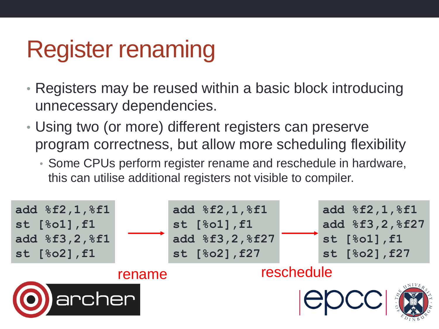#### Register renaming

- Registers may be reused within a basic block introducing unnecessary dependencies.
- Using two (or more) different registers can preserve program correctness, but allow more scheduling flexibility
	- Some CPUs perform register rename and reschedule in hardware, this can utilise additional registers not visible to compiler.

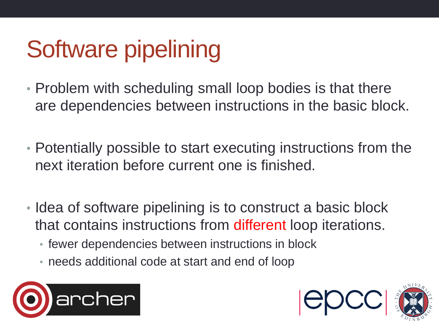# Software pipelining

- Problem with scheduling small loop bodies is that there are dependencies between instructions in the basic block.
- Potentially possible to start executing instructions from the next iteration before current one is finished.
- Idea of software pipelining is to construct a basic block that contains instructions from different loop iterations.
	- fewer dependencies between instructions in block
	- needs additional code at start and end of loop



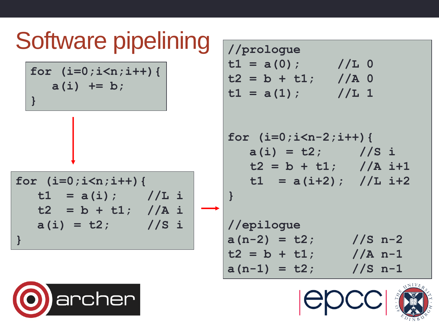#### Software pipelining

**for (i=0;i<n;i++){ a(i) += b; }**

$$
for (i=0;i
$$

**//prologue t1 = a(0); //L 0 t2 = b + t1; //A 0 t1 = a(1); //L 1** 

**for (i=0;i<n-2;i++){ a(i) = t2; //S i t2 = b + t1; //A i+1 t1 = a(i+2); //L i+2 }**

**//epilogue**  $a(n-2) = t2$ ; //S n-2  $t2 = b + t1$ ; //A n-1  $a(n-1) = t2$ ; //S n-1





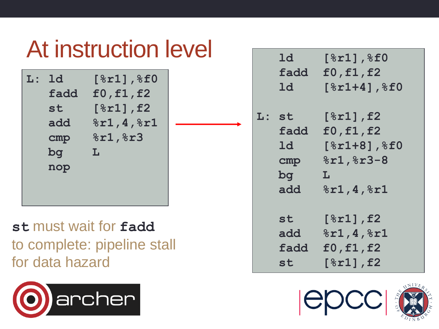#### At instruction level

| $\mathbf{L}$ : | 1d   | $[8r1]$ , $8f0$ |
|----------------|------|-----------------|
|                | fadd | f0, f1, f2      |
|                | st   | $[8r1]$ , f2    |
|                | add  | 8r1, 4, 8r1     |
|                | cmp  | 8r1,8r3         |
|                | bq   | L               |
|                | nop  |                 |
|                |      |                 |
|                |      |                 |

**st** must wait for **fadd** to complete: pipeline stall for data hazard



| 1d<br>ld                                                      | $[\,8r1\,]$ , $\$f0$<br>fadd f0, f1, f2<br>$[8r1+4]$ , $8f0$                           |
|---------------------------------------------------------------|----------------------------------------------------------------------------------------|
| $\tt L:st$<br>fadd<br>1d<br>cmp <sub>1</sub><br>$\log$<br>add | $[8r1]$ , f2<br>f0, f1, f2<br>$[8r1+8]$ , $8f0$<br>$8r1,8r3-8$<br>L<br>8r1, 4, 8r1     |
| st<br>add<br>fadd<br>st                                       | $[8r1]$ , f2<br>8r1, 4, 8r1<br>f0, f1, f2<br>$\lceil$ $\text{\$r1]}$ , $\text{\tt f2}$ |



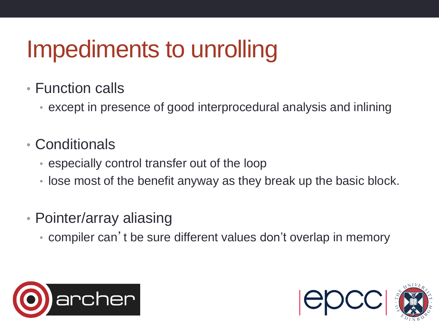#### Impediments to unrolling

- Function calls
	- except in presence of good interprocedural analysis and inlining
- Conditionals
	- especially control transfer out of the loop
	- lose most of the benefit anyway as they break up the basic block.
- Pointer/array aliasing
	- compiler can 't be sure different values don't overlap in memory



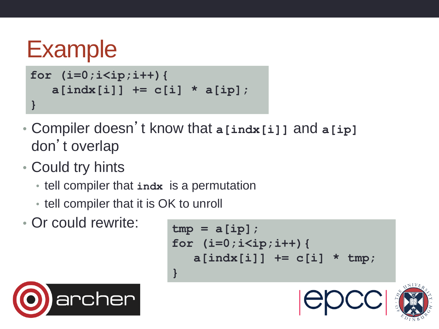```
Example
for (i=0;i<ip;i++){
    a[indx[i]] += c[i] * a[ip]; 
}
```
- Compiler doesn't know that **a[indx[i]]** and **a[ip]** don't overlap
- Could try hints
	- tell compiler that **indx** is a permutation
	- tell compiler that it is OK to unroll
- Or could rewrite:

archer

```
tmp = a[ip];for (i=0;i<ip;i++){
    a[indx[i]] += c[i] * tmp; 
}
```


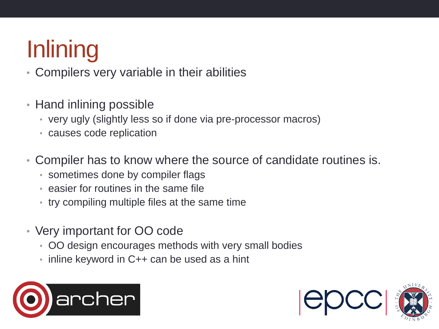# **Inlining**

- Compilers very variable in their abilities
- Hand inlining possible
	- very ugly (slightly less so if done via pre-processor macros)
	- causes code replication
- Compiler has to know where the source of candidate routines is.
	- sometimes done by compiler flags
	- easier for routines in the same file
	- try compiling multiple files at the same time
- Very important for OO code
	- OO design encourages methods with very small bodies
	- inline keyword in C++ can be used as a hint



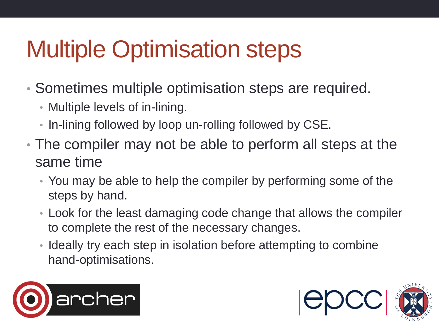## Multiple Optimisation steps

- Sometimes multiple optimisation steps are required.
	- Multiple levels of in-lining.
	- In-lining followed by loop un-rolling followed by CSE.
- The compiler may not be able to perform all steps at the same time
	- You may be able to help the compiler by performing some of the steps by hand.
	- Look for the least damaging code change that allows the compiler to complete the rest of the necessary changes.
	- Ideally try each step in isolation before attempting to combine hand-optimisations.



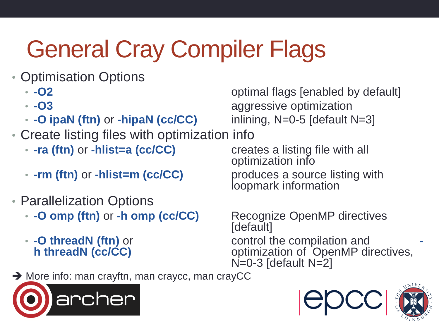# General Cray Compiler Flags

- Optimisation Options
	-
	-
	- **-O ipaN (ftn)** or **-hipaN (cc/CC)** inlining, N=0-5 [default N=3]
- Create listing files with optimization info
	- **-ra (ftn)** or **-hlist=a (cc/CC)** creates a listing file with all
	- **-rm (ftn)** or **-hlist=m (cc/CC)** produces a source listing with
- Parallelization Options
	- **-O omp (ftn)** or **-h omp (cc/CC)** Recognize OpenMP directives
	-

• **-O2** optimal flags [enabled by default] • **-03 aggressive optimization** 

optimization info

loopmark information

[default] • **-O threadN (ftn)** or control the compilation and **h** threadN (cc/CC) **-** control the compilation and optimization of OpenMP directives,  $N=0-3$  [default  $N=2$ ]

→ More info: man crayftn, man craycc, man crayCC





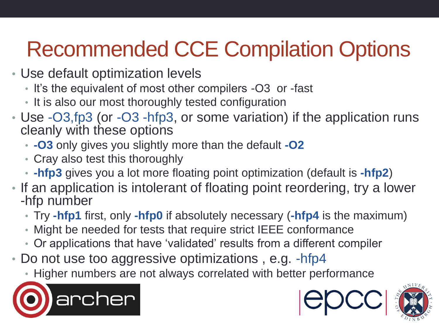#### Recommended CCE Compilation Options

- Use default optimization levels
	- It's the equivalent of most other compilers -O3 or -fast
	- It is also our most thoroughly tested configuration
- Use -O3,fp3 (or -O3 -hfp3, or some variation) if the application runs cleanly with these options
	- **-O3** only gives you slightly more than the default **-O2**
	- Cray also test this thoroughly
	- **-hfp3** gives you a lot more floating point optimization (default is **-hfp2**)
- If an application is intolerant of floating point reordering, try a lower -hfp number
	- Try **-hfp1** first, only **-hfp0** if absolutely necessary (**-hfp4** is the maximum)
	- Might be needed for tests that require strict IEEE conformance
	- Or applications that have 'validated' results from a different compiler
- Do not use too aggressive optimizations, e.g. -hfp4
	- Higher numbers are not always correlated with better performance





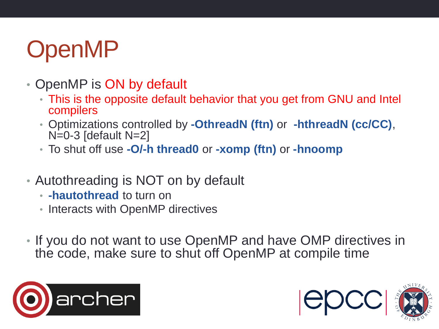### OpenMP

- OpenMP is ON by default
	- This is the opposite default behavior that you get from GNU and Intel compilers
	- Optimizations controlled by **-OthreadN (ftn)** or **-hthreadN (cc/CC)**,  $N=0-3$  [default  $N=2$ ]
	- To shut off use **-O/-h thread0** or **-xomp (ftn)** or **-hnoomp**
- Autothreading is NOT on by default
	- **-hautothread** to turn on
	- Interacts with OpenMP directives
- If you do not want to use OpenMP and have OMP directives in the code, make sure to shut off OpenMP at compile time



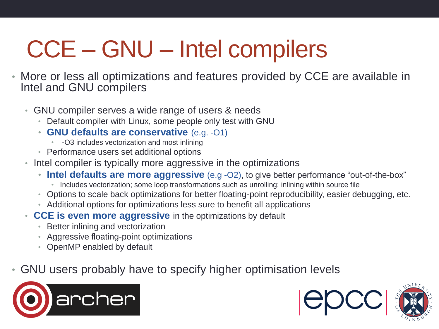# CCE – GNU – Intel compilers

- More or less all optimizations and features provided by CCE are available in Intel and GNU compilers
	- GNU compiler serves a wide range of users & needs
		- Default compiler with Linux, some people only test with GNU
		- **GNU defaults are conservative** (e.g. -O1)
			- -O3 includes vectorization and most inlining
		- Performance users set additional options
	- Intel compiler is typically more aggressive in the optimizations
		- Intel defaults are more aggressive (e.g -O2), to give better performance "out-of-the-box"
			- Includes vectorization; some loop transformations such as unrolling; inlining within source file
		- Options to scale back optimizations for better floating-point reproducibility, easier debugging, etc.
		- Additional options for optimizations less sure to benefit all applications
	- **CCE is even more aggressive** in the optimizations by default
		- Better inlining and vectorization
		- Aggressive floating-point optimizations
		- OpenMP enabled by default
- GNU users probably have to specify higher optimisation levels



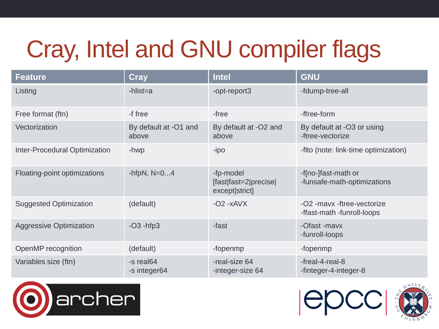# Cray, Intel and GNU compiler flags

| <b>Feature</b>                       | <b>Cray</b>                    | <b>Intel</b>                                         | <b>GNU</b>                                               |
|--------------------------------------|--------------------------------|------------------------------------------------------|----------------------------------------------------------|
| Listing                              | $-hlist=a$                     | -opt-report3                                         | -fdump-tree-all                                          |
| Free format (ftn)                    | -f free                        | -free                                                | -ffree-form                                              |
| Vectorization                        | By default at -O1 and<br>above | By default at -O2 and<br>above                       | By default at -O3 or using<br>-ftree-vectorize           |
| <b>Inter-Procedural Optimization</b> | -hwp                           | -ipo                                                 | -fito (note: link-time optimization)                     |
| Floating-point optimizations         | -hfpN, $N=04$                  | -fp-model<br>[fast fast=2 precise]<br>except strict] | -f[no-]fast-math or<br>-funsafe-math-optimizations       |
| <b>Suggested Optimization</b>        | (default)                      | $-O2 - xAVX$                                         | -O2 -mayx -ftree-vectorize<br>-ffast-math -funroll-loops |
| <b>Aggressive Optimization</b>       | $-O3 - hfp3$                   | -fast                                                | -Ofast -mayx<br>-funroll-loops                           |
| OpenMP recognition                   | (default)                      | -fopenmp                                             | -fopenmp                                                 |
| Variables size (ftn)                 | -s real64<br>-s integer64      | -real-size 64<br>-integer-size 64                    | -freal-4-real-8<br>-finteger-4-integer-8                 |